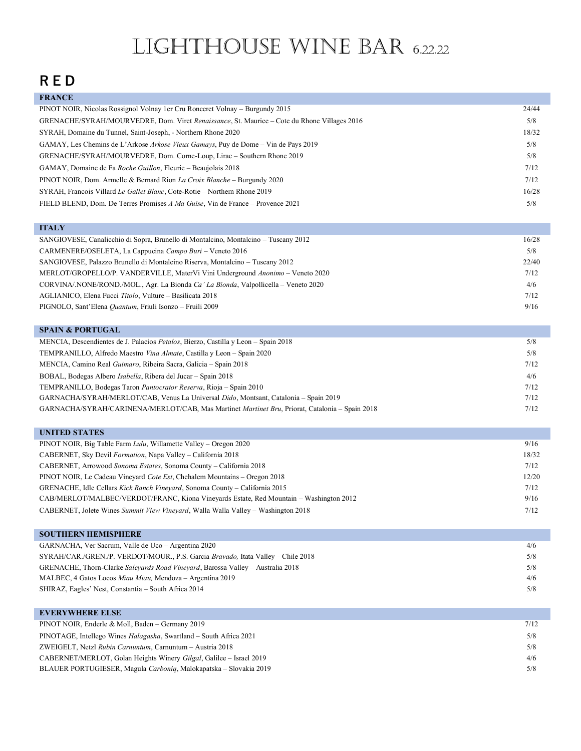# Lighthouse Wine Bar 6.22.22

### **R E D**

| <b>FRANCE</b>                                                                               |       |
|---------------------------------------------------------------------------------------------|-------|
| PINOT NOIR, Nicolas Rossignol Volnay 1er Cru Ronceret Volnay – Burgundy 2015                | 24/44 |
| GRENACHE/SYRAH/MOURVEDRE, Dom. Viret Renaissance, St. Maurice – Cote du Rhone Villages 2016 | 5/8   |
| SYRAH, Domaine du Tunnel, Saint-Joseph, - Northern Rhone 2020                               | 18/32 |
| GAMAY, Les Chemins de L'Arkose Arkose Vieux Gamays, Puy de Dome – Vin de Pays 2019          | 5/8   |
| GRENACHE/SYRAH/MOURVEDRE, Dom. Corne-Loup, Lirac – Southern Rhone 2019                      | 5/8   |
| GAMAY, Domaine de Fa Roche Guillon, Fleurie – Beaujolais 2018                               | 7/12  |
| PINOT NOIR, Dom. Armelle & Bernard Rion <i>La Croix Blanche</i> – Burgundy 2020             | 7/12  |
| SYRAH, Francois Villard Le Gallet Blanc, Cote-Rotie – Northern Rhone 2019                   | 16/28 |
| FIELD BLEND, Dom. De Terres Promises A Ma Guise, Vin de France – Provence 2021              | 5/8   |

| <b>ITALY</b>                                                                        |       |
|-------------------------------------------------------------------------------------|-------|
| SANGIOVESE, Canalicchio di Sopra, Brunello di Montalcino, Montalcino – Tuscany 2012 | 16/28 |
| CARMENERE/OSELETA, La Cappucina Campo Buri – Veneto 2016                            | 5/8   |
| SANGIOVESE, Palazzo Brunello di Montalcino Riserva, Montalcino – Tuscany 2012       | 22/40 |
| MERLOT/GROPELLO/P. VANDERVILLE, MaterVi Vini Underground Anonimo - Veneto 2020      | 7/12  |
| CORVINA/NONE/ROND./MOL., Agr. La Bionda Ca' La Bionda, Valpollicella – Veneto 2020  | 4/6   |
| AGLIANICO, Elena Fucci Titolo, Vulture - Basilicata 2018                            | 7/12  |
| PIGNOLO, Sant'Elena Quantum, Friuli Isonzo - Fruili 2009                            | 9/16  |

| <b>SPAIN &amp; PORTUGAL</b>                                                                    |      |
|------------------------------------------------------------------------------------------------|------|
| MENCIA, Descendientes de J. Palacios Petalos, Bierzo, Castilla y Leon – Spain 2018             | 5/8  |
| TEMPRANILLO, Alfredo Maestro Vina Almate, Castilla y Leon - Spain 2020                         | 5/8  |
| MENCIA, Camino Real <i>Guimaro</i> , Ribeira Sacra, Galicia – Spain 2018                       | 7/12 |
| BOBAL, Bodegas Albero <i>Isabella</i> , Ribera del Jucar – Spain 2018                          | 4/6  |
| TEMPRANILLO, Bodegas Taron <i>Pantocrator Reserva</i> , Rioja – Spain 2010                     | 7/12 |
| GARNACHA/SYRAH/MERLOT/CAB, Venus La Universal Dido, Montsant, Catalonia – Spain 2019           | 7/12 |
| GARNACHA/SYRAH/CARINENA/MERLOT/CAB, Mas Martinet Martinet Bru, Priorat, Catalonia – Spain 2018 | 7/12 |

| <b>UNITED STATES</b>                                                                   |       |
|----------------------------------------------------------------------------------------|-------|
| PINOT NOIR, Big Table Farm Lulu, Willamette Valley – Oregon 2020                       | 9/16  |
| CABERNET, Sky Devil Formation, Napa Valley – California 2018                           | 18/32 |
| CABERNET, Arrowood Sonoma Estates, Sonoma County - California 2018                     | 7/12  |
| PINOT NOIR, Le Cadeau Vineyard Cote Est, Chehalem Mountains – Oregon 2018              | 12/20 |
| GRENACHE, Idle Cellars Kick Ranch Vinevard, Sonoma County – California 2015            | 7/12  |
| CAB/MERLOT/MALBEC/VERDOT/FRANC, Kiona Vineyards Estate, Red Mountain – Washington 2012 | 9/16  |
| CABERNET, Jolete Wines Summit View Vineyard, Walla Walla Valley - Washington 2018      | 7/12  |

| <b>SOUTHERN HEMISPHERE</b>                                                       |     |
|----------------------------------------------------------------------------------|-----|
| GARNACHA, Ver Sacrum, Valle de Uco – Argentina 2020                              | 4/6 |
| SYRAH/CAR./GREN./P. VERDOT/MOUR., P.S. Garcia Bravado, Itata Valley – Chile 2018 | 5/8 |
| GRENACHE, Thorn-Clarke Saleyards Road Vineyard, Barossa Valley - Australia 2018  | 5/8 |
| MALBEC, 4 Gatos Locos Miau Miau, Mendoza – Argentina 2019                        | 4/6 |
| SHIRAZ, Eagles' Nest, Constantia – South Africa 2014                             | 5/8 |

| <b>EVERYWHERE ELSE</b>                                                      |      |
|-----------------------------------------------------------------------------|------|
| PINOT NOIR, Enderle & Moll, Baden – Germany 2019                            | 7/12 |
| PINOTAGE, Intellego Wines <i>Halagasha</i> , Swartland – South Africa 2021  | 5/8  |
| ZWEIGELT, Netzl Rubin Carnuntum, Carnuntum - Austria 2018                   | 5/8  |
| CABERNET/MERLOT, Golan Heights Winery <i>Gilgal</i> , Galilee – Israel 2019 | 4/6  |
| BLAUER PORTUGIESER, Magula Carboniq, Malokapatska – Slovakia 2019           | 5/8  |